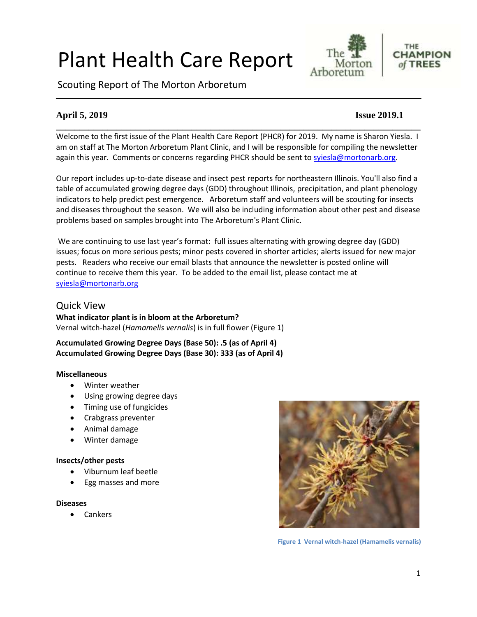# Plant Health Care Report

Scouting Report of The Morton Arboretum



#### THE **CHAMPION** of TREES

# **April 5, 2019 Issue 2019.1**

Welcome to the first issue of the Plant Health Care Report (PHCR) for 2019. My name is Sharon Yiesla. I am on staff at The Morton Arboretum Plant Clinic, and I will be responsible for compiling the newsletter again this year. Comments or concerns regarding PHCR should be sent to [syiesla@mortonarb.org.](mailto:syiesla@mortonarb.org)

**\_\_\_\_\_\_\_\_\_\_\_\_\_\_\_\_\_\_\_\_\_\_\_\_\_\_\_\_\_\_\_\_\_\_\_\_\_\_\_\_\_\_\_\_\_\_\_\_\_\_\_\_\_\_\_\_\_\_\_\_\_\_\_\_\_\_\_\_\_\_\_\_\_\_\_\_\_\_**

Our report includes up-to-date disease and insect pest reports for northeastern Illinois. You'll also find a table of accumulated growing degree days (GDD) throughout Illinois, precipitation, and plant phenology indicators to help predict pest emergence. Arboretum staff and volunteers will be scouting for insects and diseases throughout the season. We will also be including information about other pest and disease problems based on samples brought into The Arboretum's Plant Clinic.

We are continuing to use last year's format: full issues alternating with growing degree day (GDD) issues; focus on more serious pests; minor pests covered in shorter articles; alerts issued for new major pests. Readers who receive our email blasts that announce the newsletter is posted online will continue to receive them this year. To be added to the email list, please contact me at [syiesla@mortonarb.org](mailto:syiesla@mortonarb.org)

### Quick View

**What indicator plant is in bloom at the Arboretum?** Vernal witch-hazel (*Hamamelis vernalis*) is in full flower (Figure 1)

**Accumulated Growing Degree Days (Base 50): .5 (as of April 4) Accumulated Growing Degree Days (Base 30): 333 (as of April 4)**

#### **Miscellaneous**

- Winter weather
- Using growing degree days
- Timing use of fungicides
- Crabgrass preventer
- Animal damage
- Winter damage

#### **Insects/other pests**

- Viburnum leaf beetle
- Egg masses and more

#### **Diseases**

• Cankers



**Figure 1 Vernal witch-hazel (Hamamelis vernalis)**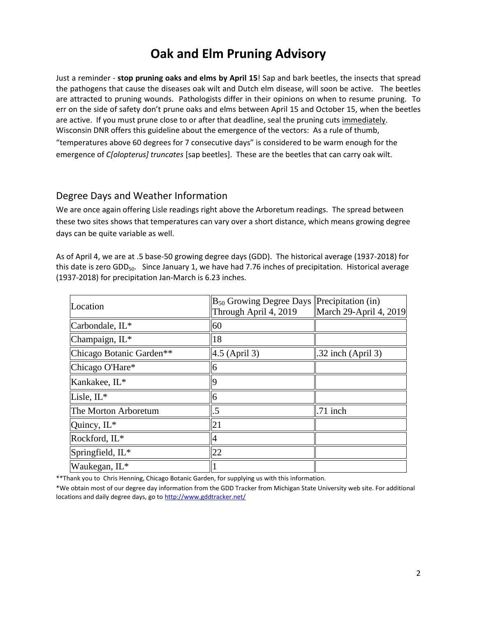# **Oak and Elm Pruning Advisory**

Just a reminder - **stop pruning oaks and elms by April 15**! Sap and bark beetles, the insects that spread the pathogens that cause the diseases oak wilt and Dutch elm disease, will soon be active. The beetles are attracted to pruning wounds. Pathologists differ in their opinions on when to resume pruning. To err on the side of safety don't prune oaks and elms between April 15 and October 15, when the beetles are active. If you must prune close to or after that deadline, seal the pruning cuts immediately. Wisconsin DNR offers this guideline about the emergence of the vectors: As a rule of thumb, "temperatures above 60 degrees for 7 consecutive days" is considered to be warm enough for the emergence of *C[olopterus] truncates* [sap beetles]. These are the beetles that can carry oak wilt.

### Degree Days and Weather Information

We are once again offering Lisle readings right above the Arboretum readings. The spread between these two sites shows that temperatures can vary over a short distance, which means growing degree days can be quite variable as well.

As of April 4, we are at .5 base-50 growing degree days (GDD). The historical average (1937-2018) for this date is zero GDD<sub>50</sub>. Since January 1, we have had 7.76 inches of precipitation. Historical average (1937-2018) for precipitation Jan-March is 6.23 inches.

| Location                 | $\mathbb{B}_{50}$ Growing Degree Days Precipitation (in)<br>Through April 4, 2019 | March 29-April 4, 2019 |
|--------------------------|-----------------------------------------------------------------------------------|------------------------|
| Carbondale, IL*          | 60                                                                                |                        |
| Champaign, IL*           | 18                                                                                |                        |
| Chicago Botanic Garden** | $4.5$ (April 3)                                                                   | $.32$ inch (April 3)   |
| Chicago O'Hare*          | 6                                                                                 |                        |
| Kankakee, IL*            |                                                                                   |                        |
| Lisle, IL*               | 6                                                                                 |                        |
| The Morton Arboretum     | .5                                                                                | .71 inch               |
| Quincy, IL*              | 21                                                                                |                        |
| Rockford, IL*            | 4                                                                                 |                        |
| Springfield, IL*         | 22                                                                                |                        |
| Waukegan, IL*            |                                                                                   |                        |

\*\*Thank you to Chris Henning, Chicago Botanic Garden, for supplying us with this information.

\*We obtain most of our degree day information from the GDD Tracker from Michigan State University web site. For additional locations and daily degree days, go t[o http://www.gddtracker.net/](http://www.gddtracker.net/)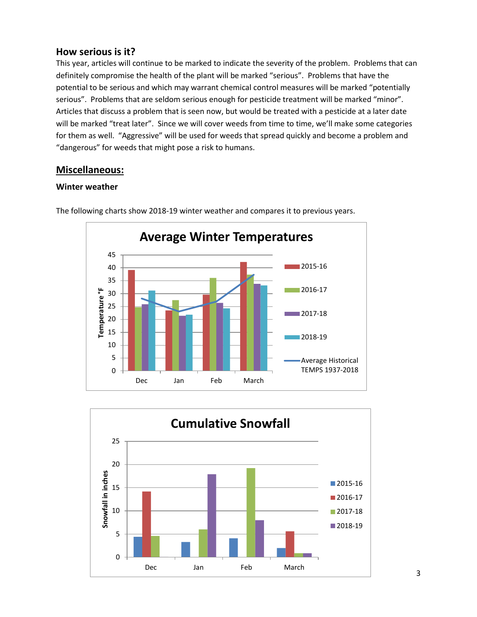#### **How serious is it?**

This year, articles will continue to be marked to indicate the severity of the problem. Problems that can definitely compromise the health of the plant will be marked "serious".Problems that have the potential to be serious and which may warrant chemical control measures will be marked "potentially serious". Problems that are seldom serious enough for pesticide treatment will be marked "minor". Articles that discuss a problem that is seen now, but would be treated with a pesticide at a later date will be marked "treat later". Since we will cover weeds from time to time, we'll make some categories for them as well. "Aggressive" will be used for weeds that spread quickly and become a problem and "dangerous" for weeds that might pose a risk to humans.

# **Miscellaneous:**

#### **Winter weather**



The following charts show 2018-19 winter weather and compares it to previous years.

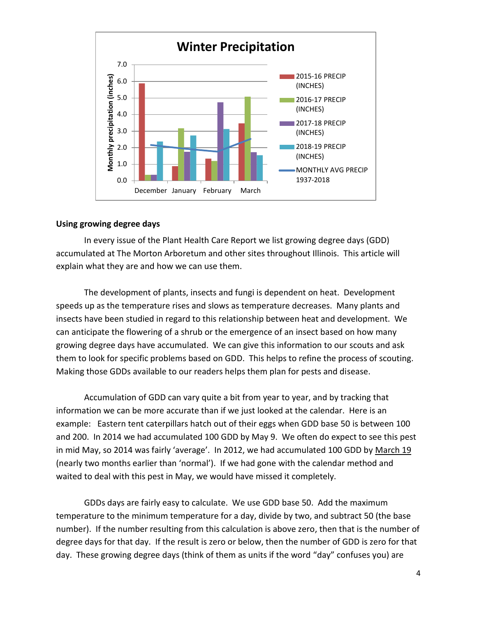

#### **Using growing degree days**

In every issue of the Plant Health Care Report we list growing degree days (GDD) accumulated at The Morton Arboretum and other sites throughout Illinois. This article will explain what they are and how we can use them.

The development of plants, insects and fungi is dependent on heat. Development speeds up as the temperature rises and slows as temperature decreases. Many plants and insects have been studied in regard to this relationship between heat and development. We can anticipate the flowering of a shrub or the emergence of an insect based on how many growing degree days have accumulated. We can give this information to our scouts and ask them to look for specific problems based on GDD. This helps to refine the process of scouting. Making those GDDs available to our readers helps them plan for pests and disease.

Accumulation of GDD can vary quite a bit from year to year, and by tracking that information we can be more accurate than if we just looked at the calendar. Here is an example: Eastern tent caterpillars hatch out of their eggs when GDD base 50 is between 100 and 200. In 2014 we had accumulated 100 GDD by May 9. We often do expect to see this pest in mid May, so 2014 was fairly 'average'. In 2012, we had accumulated 100 GDD by March 19 (nearly two months earlier than 'normal'). If we had gone with the calendar method and waited to deal with this pest in May, we would have missed it completely.

GDDs days are fairly easy to calculate. We use GDD base 50. Add the maximum temperature to the minimum temperature for a day, divide by two, and subtract 50 (the base number). If the number resulting from this calculation is above zero, then that is the number of degree days for that day. If the result is zero or below, then the number of GDD is zero for that day. These growing degree days (think of them as units if the word "day" confuses you) are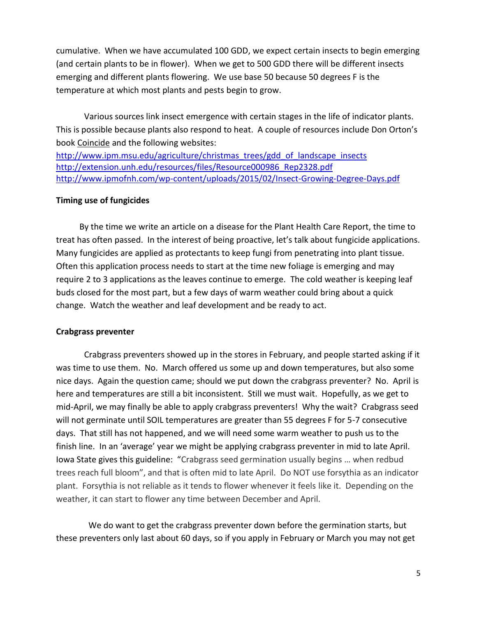cumulative. When we have accumulated 100 GDD, we expect certain insects to begin emerging (and certain plants to be in flower). When we get to 500 GDD there will be different insects emerging and different plants flowering. We use base 50 because 50 degrees F is the temperature at which most plants and pests begin to grow.

Various sources link insect emergence with certain stages in the life of indicator plants. This is possible because plants also respond to heat. A couple of resources include Don Orton's book Coincide and the following websites:

[http://www.ipm.msu.edu/agriculture/christmas\\_trees/gdd\\_of\\_landscape\\_insects](http://www.ipm.msu.edu/agriculture/christmas_trees/gdd_of_landscape_insects) [http://extension.unh.edu/resources/files/Resource000986\\_Rep2328.pdf](http://extension.unh.edu/resources/files/Resource000986_Rep2328.pdf) <http://www.ipmofnh.com/wp-content/uploads/2015/02/Insect-Growing-Degree-Days.pdf>

#### **Timing use of fungicides**

 By the time we write an article on a disease for the Plant Health Care Report, the time to treat has often passed. In the interest of being proactive, let's talk about fungicide applications. Many fungicides are applied as protectants to keep fungi from penetrating into plant tissue. Often this application process needs to start at the time new foliage is emerging and may require 2 to 3 applications as the leaves continue to emerge. The cold weather is keeping leaf buds closed for the most part, but a few days of warm weather could bring about a quick change. Watch the weather and leaf development and be ready to act.

#### **Crabgrass preventer**

Crabgrass preventers showed up in the stores in February, and people started asking if it was time to use them. No. March offered us some up and down temperatures, but also some nice days. Again the question came; should we put down the crabgrass preventer? No. April is here and temperatures are still a bit inconsistent. Still we must wait. Hopefully, as we get to mid-April, we may finally be able to apply crabgrass preventers! Why the wait? Crabgrass seed will not germinate until SOIL temperatures are greater than 55 degrees F for 5-7 consecutive days. That still has not happened, and we will need some warm weather to push us to the finish line. In an 'average' year we might be applying crabgrass preventer in mid to late April. Iowa State gives this guideline: "Crabgrass seed germination usually begins … when redbud trees reach full bloom", and that is often mid to late April. Do NOT use forsythia as an indicator plant. Forsythia is not reliable as it tends to flower whenever it feels like it. Depending on the weather, it can start to flower any time between December and April.

 We do want to get the crabgrass preventer down before the germination starts, but these preventers only last about 60 days, so if you apply in February or March you may not get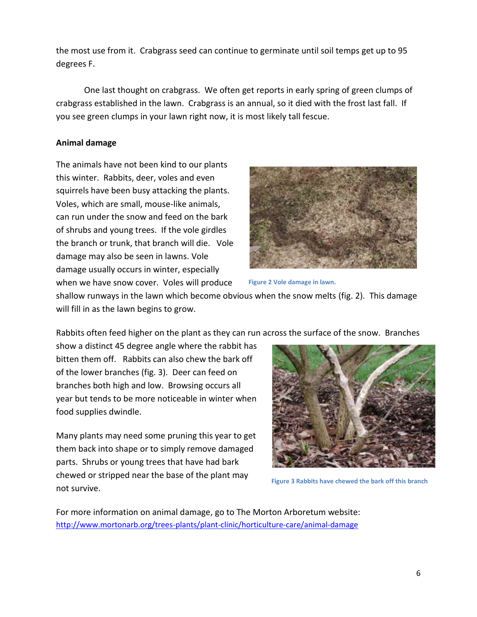the most use from it. Crabgrass seed can continue to germinate until soil temps get up to 95 degrees F.

One last thought on crabgrass. We often get reports in early spring of green clumps of crabgrass established in the lawn. Crabgrass is an annual, so it died with the frost last fall. If you see green clumps in your lawn right now, it is most likely tall fescue.

#### **Animal damage**

The animals have not been kind to our plants this winter. Rabbits, deer, voles and even squirrels have been busy attacking the plants. Voles, which are small, mouse-like animals, can run under the snow and feed on the bark of shrubs and young trees. If the vole girdles the branch or trunk, that branch will die. Vole damage may also be seen in lawns. Vole damage usually occurs in winter, especially when we have snow cover. Voles will produce



**Figure 2 Vole damage in lawn.**

shallow runways in the lawn which become obvious when the snow melts (fig. 2). This damage will fill in as the lawn begins to grow.

Rabbits often feed higher on the plant as they can run across the surface of the snow. Branches

show a distinct 45 degree angle where the rabbit has bitten them off. Rabbits can also chew the bark off of the lower branches (fig. 3). Deer can feed on branches both high and low. Browsing occurs all year but tends to be more noticeable in winter when food supplies dwindle.

Many plants may need some pruning this year to get them back into shape or to simply remove damaged parts. Shrubs or young trees that have had bark chewed or stripped near the base of the plant may not survive.



**Figure 3 Rabbits have chewed the bark off this branch**

For more information on animal damage, go to The Morton Arboretum website: <http://www.mortonarb.org/trees-plants/plant-clinic/horticulture-care/animal-damage>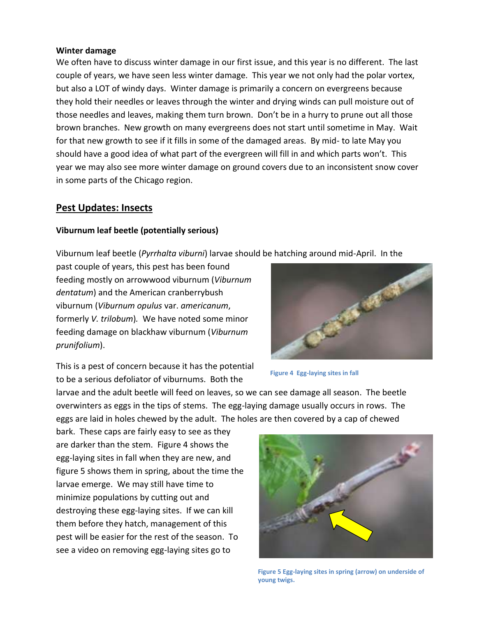#### **Winter damage**

We often have to discuss winter damage in our first issue, and this year is no different. The last couple of years, we have seen less winter damage. This year we not only had the polar vortex, but also a LOT of windy days. Winter damage is primarily a concern on evergreens because they hold their needles or leaves through the winter and drying winds can pull moisture out of those needles and leaves, making them turn brown. Don't be in a hurry to prune out all those brown branches. New growth on many evergreens does not start until sometime in May. Wait for that new growth to see if it fills in some of the damaged areas. By mid- to late May you should have a good idea of what part of the evergreen will fill in and which parts won't. This year we may also see more winter damage on ground covers due to an inconsistent snow cover in some parts of the Chicago region.

#### **Pest Updates: Insects**

#### **Viburnum leaf beetle (potentially serious)**

Viburnum leaf beetle (*Pyrrhalta viburni*) larvae should be hatching around mid-April. In the

past couple of years, this pest has been found feeding mostly on arrowwood viburnum (*Viburnum dentatum*) and the American cranberrybush viburnum (*Viburnum opulus* var. *americanum*, formerly *V. trilobum*)*.* We have noted some minor feeding damage on blackhaw viburnum (*Viburnum prunifolium*).



This is a pest of concern because it has the potential to be a serious defoliator of viburnums. Both the

larvae and the adult beetle will feed on leaves, so we can see damage all season. The beetle overwinters as eggs in the tips of stems. The egg-laying damage usually occurs in rows. The eggs are laid in holes chewed by the adult. The holes are then covered by a cap of chewed

bark. These caps are fairly easy to see as they are darker than the stem. Figure 4 shows the egg-laying sites in fall when they are new, and figure 5 shows them in spring, about the time the larvae emerge. We may still have time to minimize populations by cutting out and destroying these egg-laying sites. If we can kill them before they hatch, management of this pest will be easier for the rest of the season. To see a video on removing egg-laying sites go to



7 **Figure 5 Egg-laying sites in spring (arrow) on underside of young twigs.**

**Figure 4 Egg-laying sites in fall**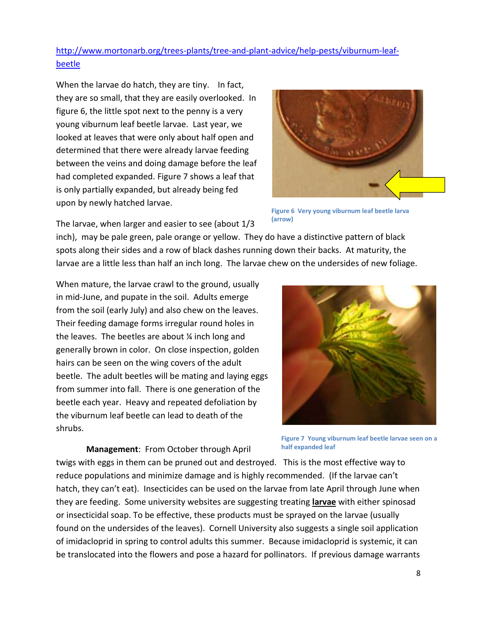[http://www.mortonarb.org/trees-plants/tree-and-plant-advice/help-pests/viburnum-leaf](http://www.mortonarb.org/trees-plants/tree-and-plant-advice/help-pests/viburnum-leaf-beetle)[beetle](http://www.mortonarb.org/trees-plants/tree-and-plant-advice/help-pests/viburnum-leaf-beetle)

When the larvae do hatch, they are tiny. In fact, they are so small, that they are easily overlooked. In figure 6, the little spot next to the penny is a very young viburnum leaf beetle larvae. Last year, we looked at leaves that were only about half open and determined that there were already larvae feeding between the veins and doing damage before the leaf had completed expanded. Figure 7 shows a leaf that is only partially expanded, but already being fed upon by newly hatched larvae.



**Figure 6 Very young viburnum leaf beetle larva (arrow)**

The larvae, when larger and easier to see (about 1/3

inch), may be pale green, pale orange or yellow. They do have a distinctive pattern of black spots along their sides and a row of black dashes running down their backs. At maturity, the larvae are a little less than half an inch long. The larvae chew on the undersides of new foliage.

When mature, the larvae crawl to the ground, usually in mid-June, and pupate in the soil. Adults emerge from the soil (early July) and also chew on the leaves. Their feeding damage forms irregular round holes in the leaves. The beetles are about ¼ inch long and generally brown in color. On close inspection, golden hairs can be seen on the wing covers of the adult beetle. The adult beetles will be mating and laying eggs from summer into fall. There is one generation of the beetle each year. Heavy and repeated defoliation by the viburnum leaf beetle can lead to death of the shrubs.

**Management**: From October through April

**Figure 7 Young viburnum leaf beetle larvae seen on a half expanded leaf**

twigs with eggs in them can be pruned out and destroyed. This is the most effective way to reduce populations and minimize damage and is highly recommended. (If the larvae can't hatch, they can't eat). Insecticides can be used on the larvae from late April through June when they are feeding. Some university websites are suggesting treating **larvae** with either spinosad or insecticidal soap. To be effective, these products must be sprayed on the larvae (usually found on the undersides of the leaves). Cornell University also suggests a single soil application of imidacloprid in spring to control adults this summer. Because imidacloprid is systemic, it can be translocated into the flowers and pose a hazard for pollinators. If previous damage warrants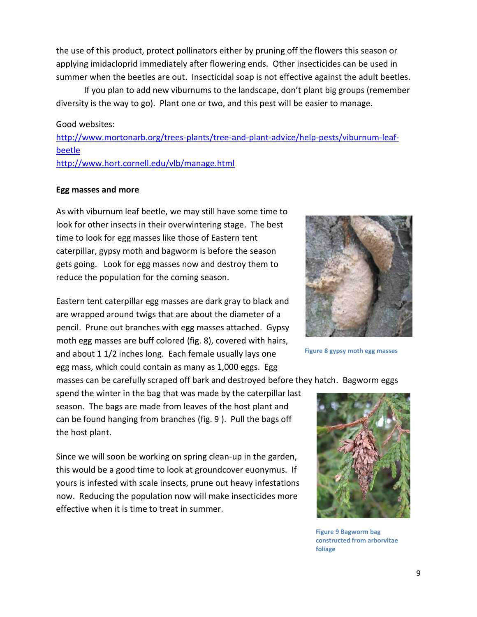the use of this product, protect pollinators either by pruning off the flowers this season or applying imidacloprid immediately after flowering ends. Other insecticides can be used in summer when the beetles are out. Insecticidal soap is not effective against the adult beetles.

If you plan to add new viburnums to the landscape, don't plant big groups (remember diversity is the way to go). Plant one or two, and this pest will be easier to manage.

#### Good websites:

[http://www.mortonarb.org/trees-plants/tree-and-plant-advice/help-pests/viburnum-leaf](http://www.mortonarb.org/trees-plants/tree-and-plant-advice/help-pests/viburnum-leaf-beetle)[beetle](http://www.mortonarb.org/trees-plants/tree-and-plant-advice/help-pests/viburnum-leaf-beetle) <http://www.hort.cornell.edu/vlb/manage.html>

#### **Egg masses and more**

As with viburnum leaf beetle, we may still have some time to look for other insects in their overwintering stage. The best time to look for egg masses like those of Eastern tent caterpillar, gypsy moth and bagworm is before the season gets going. Look for egg masses now and destroy them to reduce the population for the coming season.

Eastern tent caterpillar egg masses are dark gray to black and are wrapped around twigs that are about the diameter of a pencil. Prune out branches with egg masses attached. Gypsy moth egg masses are buff colored (fig. 8), covered with hairs, and about 1 1/2 inches long. Each female usually lays one egg mass, which could contain as many as 1,000 eggs. Egg

masses can be carefully scraped off bark and destroyed before they hatch. Bagworm eggs

spend the winter in the bag that was made by the caterpillar last season. The bags are made from leaves of the host plant and can be found hanging from branches (fig. 9 ). Pull the bags off the host plant.

Since we will soon be working on spring clean-up in the garden, this would be a good time to look at groundcover euonymus. If yours is infested with scale insects, prune out heavy infestations now. Reducing the population now will make insecticides more effective when it is time to treat in summer.



**Figure 8 gypsy moth egg masses**

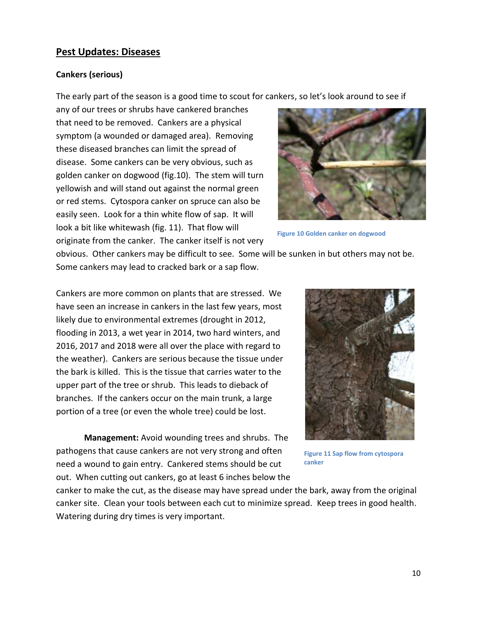#### **Pest Updates: Diseases**

#### **Cankers (serious)**

The early part of the season is a good time to scout for cankers, so let's look around to see if

any of our trees or shrubs have cankered branches that need to be removed. Cankers are a physical symptom (a wounded or damaged area). Removing these diseased branches can limit the spread of disease. Some cankers can be very obvious, such as golden canker on dogwood (fig.10). The stem will turn yellowish and will stand out against the normal green or red stems. Cytospora canker on spruce can also be easily seen. Look for a thin white flow of sap. It will look a bit like whitewash (fig. 11). That flow will originate from the canker. The canker itself is not very



**Figure 10 Golden canker on dogwood**

obvious. Other cankers may be difficult to see. Some will be sunken in but others may not be. Some cankers may lead to cracked bark or a sap flow.

Cankers are more common on plants that are stressed. We have seen an increase in cankers in the last few years, most likely due to environmental extremes (drought in 2012, flooding in 2013, a wet year in 2014, two hard winters, and 2016, 2017 and 2018 were all over the place with regard to the weather). Cankers are serious because the tissue under the bark is killed. This is the tissue that carries water to the upper part of the tree or shrub. This leads to dieback of branches. If the cankers occur on the main trunk, a large portion of a tree (or even the whole tree) could be lost.

**Management:** Avoid wounding trees and shrubs. The pathogens that cause cankers are not very strong and often need a wound to gain entry. Cankered stems should be cut out. When cutting out cankers, go at least 6 inches below the



**Figure 11 Sap flow from cytospora canker**

canker to make the cut, as the disease may have spread under the bark, away from the original canker site. Clean your tools between each cut to minimize spread. Keep trees in good health. Watering during dry times is very important.